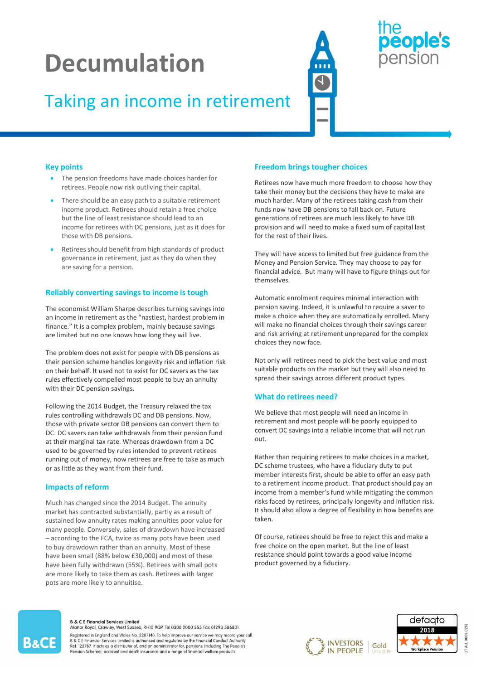# Decumulation

### Taking an income in retirement

### people's ension

#### Key points

- The pension freedoms have made choices harder for retirees. People now risk outliving their capital.
- There should be an easy path to a suitable retirement income product. Retirees should retain a free choice but the line of least resistance should lead to an income for retirees with DC pensions, just as it does for those with DB pensions.
- Retirees should benefit from high standards of product governance in retirement, just as they do when they are saving for a pension.

#### Reliably converting savings to income is tough

The economist William Sharpe describes turning savings into an income in retirement as the "nastiest, hardest problem in finance." It is a complex problem, mainly because savings are limited but no one knows how long they will live.

The problem does not exist for people with DB pensions as their pension scheme handles longevity risk and inflation risk on their behalf. It used not to exist for DC savers as the tax rules effectively compelled most people to buy an annuity with their DC pension savings.

Following the 2014 Budget, the Treasury relaxed the tax rules controlling withdrawals DC and DB pensions. Now, those with private sector DB pensions can convert them to DC. DC savers can take withdrawals from their pension fund at their marginal tax rate. Whereas drawdown from a DC used to be governed by rules intended to prevent retirees running out of money, now retirees are free to take as much or as little as they want from their fund.

#### Impacts of reform

Much has changed since the 2014 Budget. The annuity market has contracted substantially, partly as a result of sustained low annuity rates making annuities poor value for many people. Conversely, sales of drawdown have increased – according to the FCA, twice as many pots have been used to buy drawdown rather than an annuity. Most of these have been small (88% below £30,000) and most of these have been fully withdrawn (55%). Retirees with small pots are more likely to take them as cash. Retirees with larger pots are more likely to annuitise.

#### Freedom brings tougher choices

Retirees now have much more freedom to choose how they take their money but the decisions they have to make are much harder. Many of the retirees taking cash from their funds now have DB pensions to fall back on. Future generations of retirees are much less likely to have DB provision and will need to make a fixed sum of capital last for the rest of their lives.

They will have access to limited but free guidance from the Money and Pension Service. They may choose to pay for financial advice. But many will have to figure things out for themselves.

Automatic enrolment requires minimal interaction with pension saving. Indeed, it is unlawful to require a saver to make a choice when they are automatically enrolled. Many will make no financial choices through their savings career and risk arriving at retirement unprepared for the complex choices they now face.

Not only will retirees need to pick the best value and most suitable products on the market but they will also need to spread their savings across different product types.

#### What do retirees need?

We believe that most people will need an income in retirement and most people will be poorly equipped to convert DC savings into a reliable income that will not run out.

Rather than requiring retirees to make choices in a market, DC scheme trustees, who have a fiduciary duty to put member interests first, should be able to offer an easy path to a retirement income product. That product should pay an income from a member's fund while mitigating the common risks faced by retirees, principally longevity and inflation risk. It should also allow a degree of flexibility in how benefits are taken.

Of course, retirees should be free to reject this and make a free choice on the open market. But the line of least resistance should point towards a good value income product governed by a fiduciary.

## B&CE

#### **B & C E Financial Services Limited**

Manor Royal, Crawley, West Sussex, RH10 9QP. Tel 0300 2000 555 Fax 01293 586801. Registered in England and Wales No. 2207140. To help improve our service we may record your call. Next CE Financial Services Limited is authorised and regulated by the Financial Conduct Authority<br>Ref: 122787. It acts as a distributor of, and an administrator for, pensions (including The People's Pension Scheme), accident and death insurance and a range of financial welfare products

**INVESTORS** Gold **IN PEOPLE**